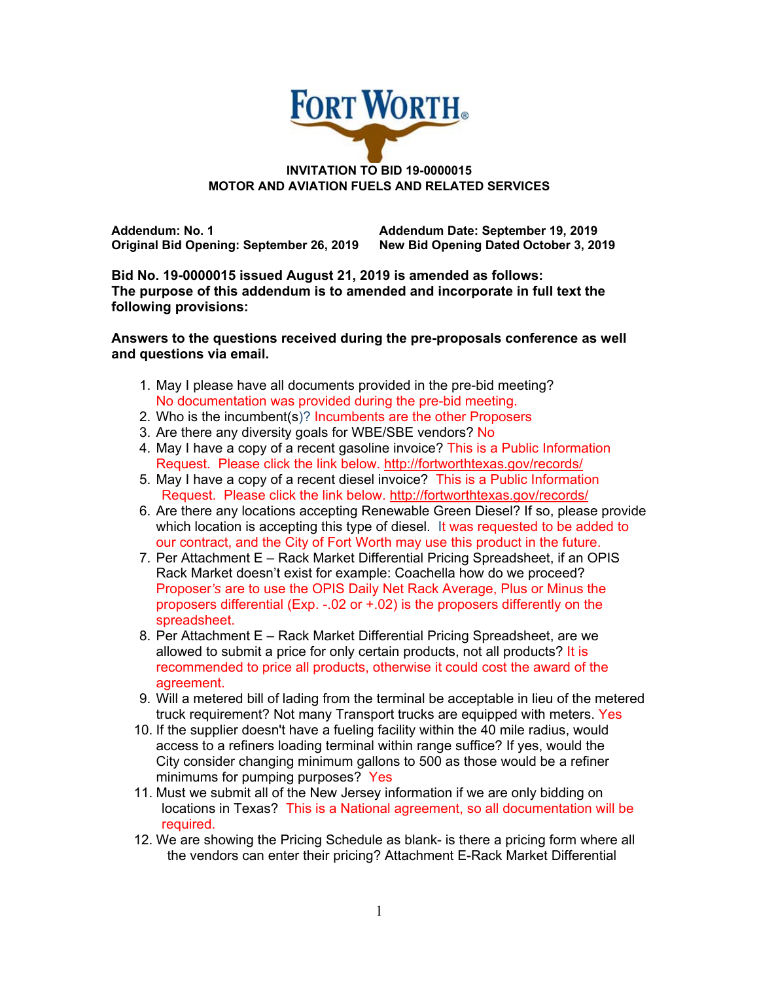

## **INVITATION TO BID 19-0000015 MOTOR AND AVIATION FUELS AND RELATED SERVICES**

**Addendum: No. 1 Addendum Date: September 19, 2019 Original Bid Opening: September 26, 2019 New Bid Opening Dated October 3, 2019** 

**Bid No. 19-0000015 issued August 21, 2019 is amended as follows: The purpose of this addendum is to amended and incorporate in full text the following provisions:** 

**Answers to the questions received during the pre-proposals conference as well and questions via email.** 

- 1. May I please have all documents provided in the pre-bid meeting? No documentation was provided during the pre-bid meeting.
- 2. Who is the incumbent(s)? Incumbents are the other Proposers
- 3. Are there any diversity goals for WBE/SBE vendors? No
- 4. May I have a copy of a recent gasoline invoice? This is a Public Information Request. Please click the link below. http://fortworthtexas.gov/records/
- 5. May I have a copy of a recent diesel invoice? This is a Public Information Request. Please click the link below. http://fortworthtexas.gov/records/
- 6. Are there any locations accepting Renewable Green Diesel? If so, please provide which location is accepting this type of diesel. It was requested to be added to our contract, and the City of Fort Worth may use this product in the future.
- 7. Per Attachment E Rack Market Differential Pricing Spreadsheet, if an OPIS Rack Market doesn't exist for example: Coachella how do we proceed? Proposer*'s* are to use the OPIS Daily Net Rack Average, Plus or Minus the proposers differential (Exp. -.02 or +.02) is the proposers differently on the spreadsheet.
- 8. Per Attachment E Rack Market Differential Pricing Spreadsheet, are we allowed to submit a price for only certain products, not all products? It is recommended to price all products, otherwise it could cost the award of the agreement.
- 9. Will a metered bill of lading from the terminal be acceptable in lieu of the metered truck requirement? Not many Transport trucks are equipped with meters. Yes
- 10. If the supplier doesn't have a fueling facility within the 40 mile radius, would access to a refiners loading terminal within range suffice? If yes, would the City consider changing minimum gallons to 500 as those would be a refiner minimums for pumping purposes? Yes
- 11. Must we submit all of the New Jersey information if we are only bidding on locations in Texas? This is a National agreement, so all documentation will be required.
- 12. We are showing the Pricing Schedule as blank- is there a pricing form where all the vendors can enter their pricing? Attachment E-Rack Market Differential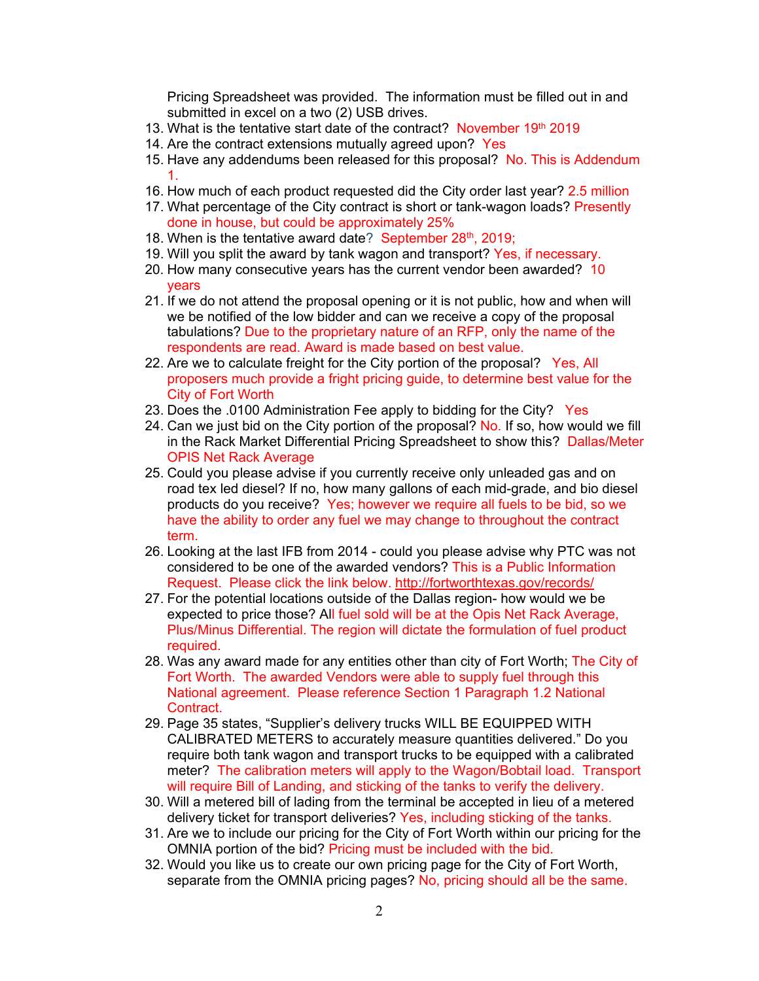Pricing Spreadsheet was provided. The information must be filled out in and submitted in excel on a two (2) USB drives.

- 13. What is the tentative start date of the contract? November  $19<sup>th</sup>$  2019
- 14. Are the contract extensions mutually agreed upon? Yes
- 15. Have any addendums been released for this proposal? No. This is Addendum 1.
- 16. How much of each product requested did the City order last year? 2.5 million
- 17. What percentage of the City contract is short or tank-wagon loads? Presently done in house, but could be approximately 25%
- 18. When is the tentative award date? September  $28<sup>th</sup>$ , 2019;
- 19. Will you split the award by tank wagon and transport? Yes, if necessary.
- 20. How many consecutive years has the current vendor been awarded? 10 years
- 21. If we do not attend the proposal opening or it is not public, how and when will we be notified of the low bidder and can we receive a copy of the proposal tabulations? Due to the proprietary nature of an RFP, only the name of the respondents are read. Award is made based on best value.
- 22. Are we to calculate freight for the City portion of the proposal? Yes, All proposers much provide a fright pricing guide, to determine best value for the City of Fort Worth
- 23. Does the .0100 Administration Fee apply to bidding for the City? Yes
- 24. Can we just bid on the City portion of the proposal? No. If so, how would we fill in the Rack Market Differential Pricing Spreadsheet to show this? Dallas/Meter OPIS Net Rack Average
- 25. Could you please advise if you currently receive only unleaded gas and on road tex led diesel? If no, how many gallons of each mid-grade, and bio diesel products do you receive? Yes; however we require all fuels to be bid, so we have the ability to order any fuel we may change to throughout the contract term.
- 26. Looking at the last IFB from 2014 could you please advise why PTC was not considered to be one of the awarded vendors? This is a Public Information Request. Please click the link below. http://fortworthtexas.gov/records/
- 27. For the potential locations outside of the Dallas region- how would we be expected to price those? All fuel sold will be at the Opis Net Rack Average, Plus/Minus Differential. The region will dictate the formulation of fuel product required.
- 28. Was any award made for any entities other than city of Fort Worth; The City of Fort Worth. The awarded Vendors were able to supply fuel through this National agreement. Please reference Section 1 Paragraph 1.2 National Contract.
- 29. Page 35 states, "Supplier's delivery trucks WILL BE EQUIPPED WITH CALIBRATED METERS to accurately measure quantities delivered." Do you require both tank wagon and transport trucks to be equipped with a calibrated meter? The calibration meters will apply to the Wagon/Bobtail load. Transport will require Bill of Landing, and sticking of the tanks to verify the delivery.
- 30. Will a metered bill of lading from the terminal be accepted in lieu of a metered delivery ticket for transport deliveries? Yes, including sticking of the tanks.
- 31. Are we to include our pricing for the City of Fort Worth within our pricing for the OMNIA portion of the bid? Pricing must be included with the bid.
- 32. Would you like us to create our own pricing page for the City of Fort Worth, separate from the OMNIA pricing pages? No, pricing should all be the same.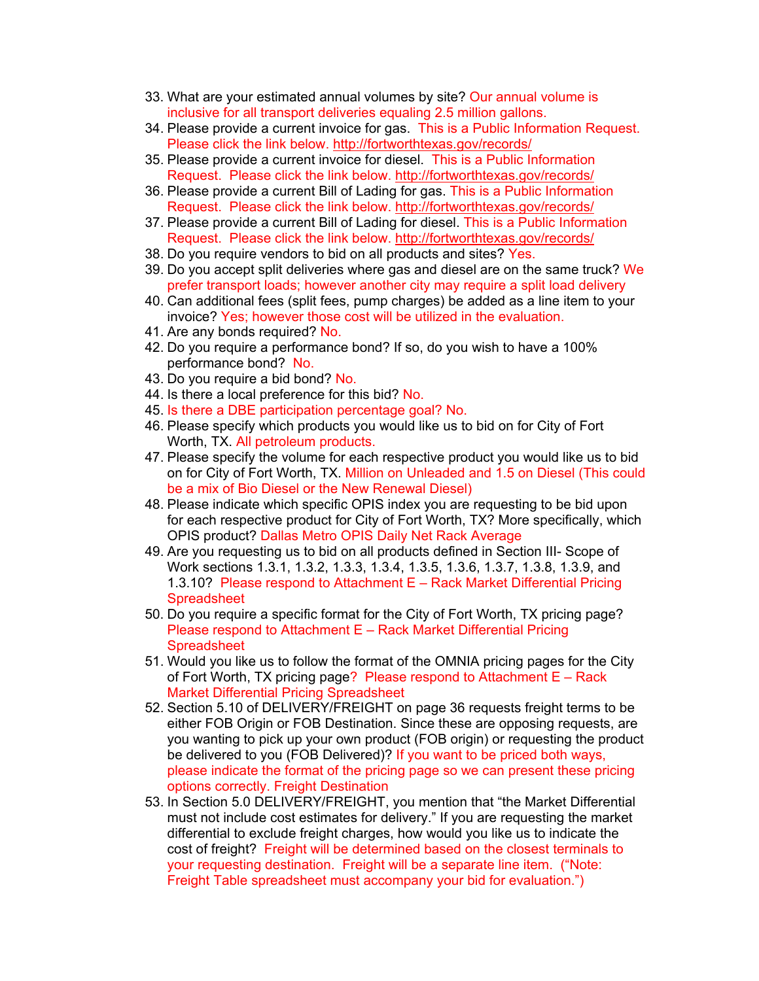- 33. What are your estimated annual volumes by site? Our annual volume is inclusive for all transport deliveries equaling 2.5 million gallons.
- 34. Please provide a current invoice for gas. This is a Public Information Request. Please click the link below. http://fortworthtexas.gov/records/
- 35. Please provide a current invoice for diesel. This is a Public Information Request. Please click the link below. http://fortworthtexas.gov/records/
- 36. Please provide a current Bill of Lading for gas. This is a Public Information Request. Please click the link below. http://fortworthtexas.gov/records/
- 37. Please provide a current Bill of Lading for diesel. This is a Public Information Request. Please click the link below. http://fortworthtexas.gov/records/
- 38. Do you require vendors to bid on all products and sites? Yes.
- 39. Do you accept split deliveries where gas and diesel are on the same truck? We prefer transport loads; however another city may require a split load delivery
- 40. Can additional fees (split fees, pump charges) be added as a line item to your invoice? Yes; however those cost will be utilized in the evaluation.
- 41. Are any bonds required? No.
- 42. Do you require a performance bond? If so, do you wish to have a 100% performance bond? No.
- 43. Do you require a bid bond? No.
- 44. Is there a local preference for this bid? No.
- 45. Is there a DBE participation percentage goal? No.
- 46. Please specify which products you would like us to bid on for City of Fort Worth, TX. All petroleum products.
- 47. Please specify the volume for each respective product you would like us to bid on for City of Fort Worth, TX. Million on Unleaded and 1.5 on Diesel (This could be a mix of Bio Diesel or the New Renewal Diesel)
- 48. Please indicate which specific OPIS index you are requesting to be bid upon for each respective product for City of Fort Worth, TX? More specifically, which OPIS product? Dallas Metro OPIS Daily Net Rack Average
- 49. Are you requesting us to bid on all products defined in Section III- Scope of Work sections 1.3.1, 1.3.2, 1.3.3, 1.3.4, 1.3.5, 1.3.6, 1.3.7, 1.3.8, 1.3.9, and 1.3.10? Please respond to Attachment E – Rack Market Differential Pricing **Spreadsheet**
- 50. Do you require a specific format for the City of Fort Worth, TX pricing page? Please respond to Attachment E – Rack Market Differential Pricing **Spreadsheet**
- 51. Would you like us to follow the format of the OMNIA pricing pages for the City of Fort Worth, TX pricing page? Please respond to Attachment E – Rack Market Differential Pricing Spreadsheet
- 52. Section 5.10 of DELIVERY/FREIGHT on page 36 requests freight terms to be either FOB Origin or FOB Destination. Since these are opposing requests, are you wanting to pick up your own product (FOB origin) or requesting the product be delivered to you (FOB Delivered)? If you want to be priced both ways, please indicate the format of the pricing page so we can present these pricing options correctly. Freight Destination
- 53. In Section 5.0 DELIVERY/FREIGHT, you mention that "the Market Differential must not include cost estimates for delivery." If you are requesting the market differential to exclude freight charges, how would you like us to indicate the cost of freight? Freight will be determined based on the closest terminals to your requesting destination. Freight will be a separate line item. ("Note: Freight Table spreadsheet must accompany your bid for evaluation.")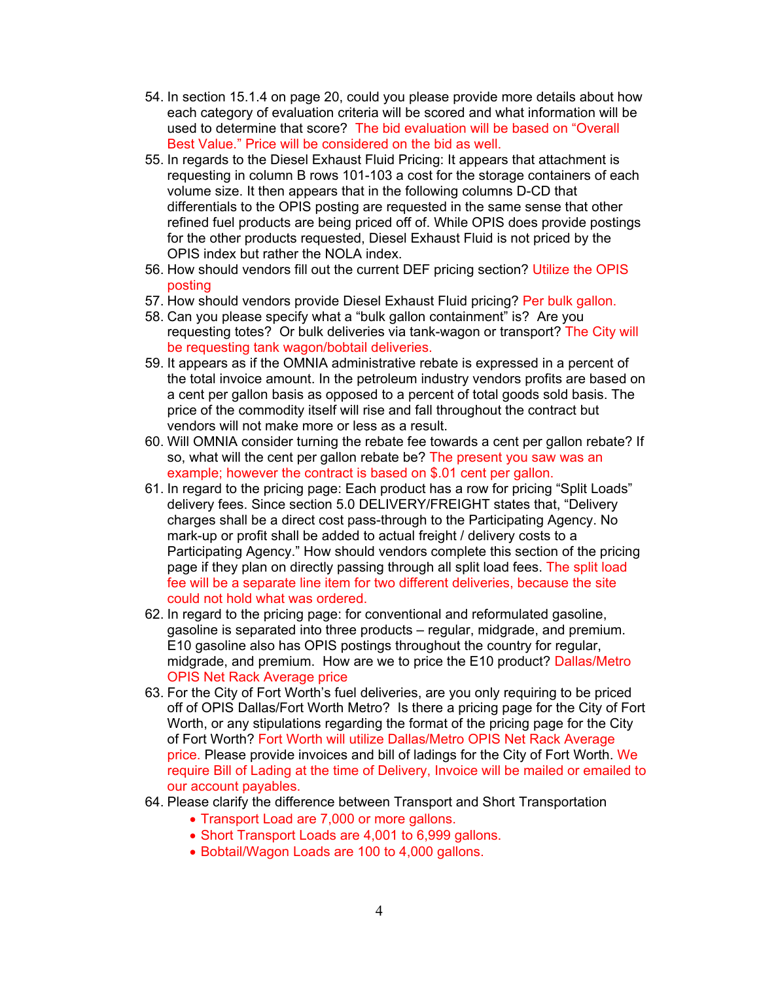- 54. In section 15.1.4 on page 20, could you please provide more details about how each category of evaluation criteria will be scored and what information will be used to determine that score? The bid evaluation will be based on "Overall Best Value." Price will be considered on the bid as well.
- 55. In regards to the Diesel Exhaust Fluid Pricing: It appears that attachment is requesting in column B rows 101-103 a cost for the storage containers of each volume size. It then appears that in the following columns D-CD that differentials to the OPIS posting are requested in the same sense that other refined fuel products are being priced off of. While OPIS does provide postings for the other products requested, Diesel Exhaust Fluid is not priced by the OPIS index but rather the NOLA index.
- 56. How should vendors fill out the current DEF pricing section? Utilize the OPIS posting
- 57. How should vendors provide Diesel Exhaust Fluid pricing? Per bulk gallon.
- 58. Can you please specify what a "bulk gallon containment" is? Are you requesting totes? Or bulk deliveries via tank-wagon or transport? The City will be requesting tank wagon/bobtail deliveries.
- 59. It appears as if the OMNIA administrative rebate is expressed in a percent of the total invoice amount. In the petroleum industry vendors profits are based on a cent per gallon basis as opposed to a percent of total goods sold basis. The price of the commodity itself will rise and fall throughout the contract but vendors will not make more or less as a result.
- 60. Will OMNIA consider turning the rebate fee towards a cent per gallon rebate? If so, what will the cent per gallon rebate be? The present you saw was an example; however the contract is based on \$.01 cent per gallon.
- 61. In regard to the pricing page: Each product has a row for pricing "Split Loads" delivery fees. Since section 5.0 DELIVERY/FREIGHT states that, "Delivery charges shall be a direct cost pass-through to the Participating Agency. No mark-up or profit shall be added to actual freight / delivery costs to a Participating Agency." How should vendors complete this section of the pricing page if they plan on directly passing through all split load fees. The split load fee will be a separate line item for two different deliveries, because the site could not hold what was ordered.
- 62. In regard to the pricing page: for conventional and reformulated gasoline, gasoline is separated into three products – regular, midgrade, and premium. E10 gasoline also has OPIS postings throughout the country for regular, midgrade, and premium. How are we to price the E10 product? Dallas/Metro OPIS Net Rack Average price
- 63. For the City of Fort Worth's fuel deliveries, are you only requiring to be priced off of OPIS Dallas/Fort Worth Metro? Is there a pricing page for the City of Fort Worth, or any stipulations regarding the format of the pricing page for the City of Fort Worth? Fort Worth will utilize Dallas/Metro OPIS Net Rack Average price. Please provide invoices and bill of ladings for the City of Fort Worth. We require Bill of Lading at the time of Delivery, Invoice will be mailed or emailed to our account payables.
- 64. Please clarify the difference between Transport and Short Transportation
	- Transport Load are 7,000 or more gallons.
	- Short Transport Loads are 4,001 to 6,999 gallons.
	- Bobtail/Wagon Loads are 100 to 4,000 gallons.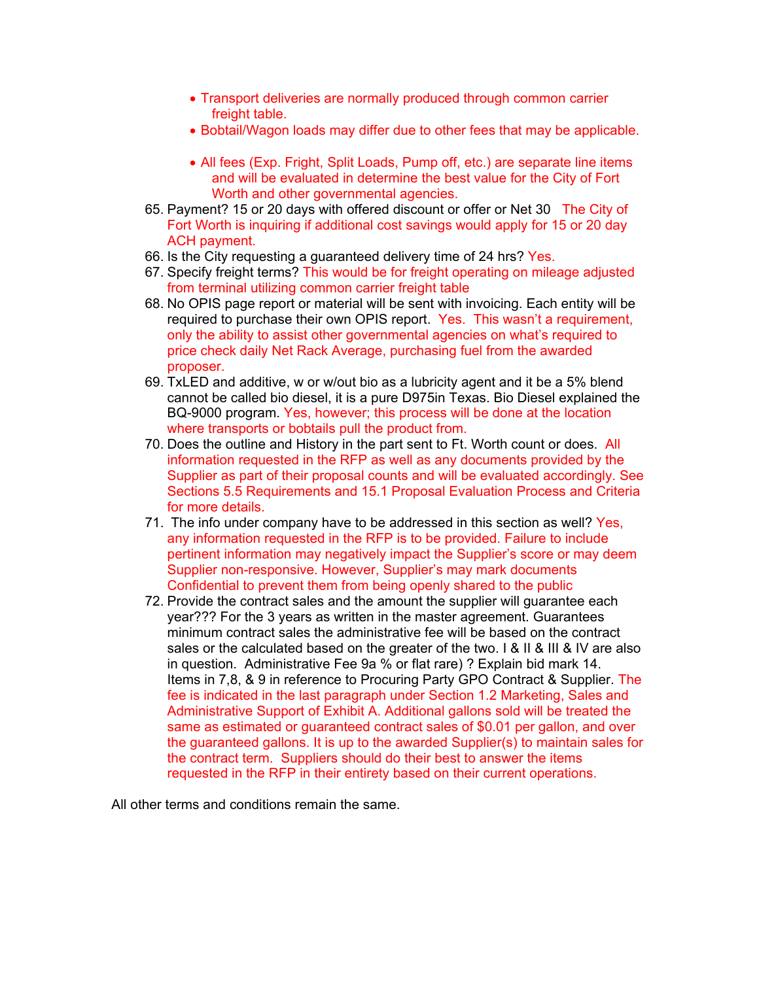- Transport deliveries are normally produced through common carrier freight table.
- Bobtail/Wagon loads may differ due to other fees that may be applicable.
- All fees (Exp. Fright, Split Loads, Pump off, etc.) are separate line items and will be evaluated in determine the best value for the City of Fort Worth and other governmental agencies.
- 65. Payment? 15 or 20 days with offered discount or offer or Net 30 The City of Fort Worth is inquiring if additional cost savings would apply for 15 or 20 day ACH payment.
- 66. Is the City requesting a guaranteed delivery time of 24 hrs? Yes.
- 67. Specify freight terms? This would be for freight operating on mileage adjusted from terminal utilizing common carrier freight table
- 68. No OPIS page report or material will be sent with invoicing. Each entity will be required to purchase their own OPIS report. Yes. This wasn't a requirement, only the ability to assist other governmental agencies on what's required to price check daily Net Rack Average, purchasing fuel from the awarded proposer.
- 69. TxLED and additive, w or w/out bio as a lubricity agent and it be a 5% blend cannot be called bio diesel, it is a pure D975in Texas. Bio Diesel explained the BQ-9000 program. Yes, however; this process will be done at the location where transports or bobtails pull the product from.
- 70. Does the outline and History in the part sent to Ft. Worth count or does. All information requested in the RFP as well as any documents provided by the Supplier as part of their proposal counts and will be evaluated accordingly. See Sections 5.5 Requirements and 15.1 Proposal Evaluation Process and Criteria for more details.
- 71. The info under company have to be addressed in this section as well? Yes, any information requested in the RFP is to be provided. Failure to include pertinent information may negatively impact the Supplier's score or may deem Supplier non-responsive. However, Supplier's may mark documents Confidential to prevent them from being openly shared to the public
- 72. Provide the contract sales and the amount the supplier will guarantee each year??? For the 3 years as written in the master agreement. Guarantees minimum contract sales the administrative fee will be based on the contract sales or the calculated based on the greater of the two. I & II & III & IV are also in question. Administrative Fee 9a % or flat rare) ? Explain bid mark 14. Items in 7,8, & 9 in reference to Procuring Party GPO Contract & Supplier. The fee is indicated in the last paragraph under Section 1.2 Marketing, Sales and Administrative Support of Exhibit A. Additional gallons sold will be treated the same as estimated or guaranteed contract sales of \$0.01 per gallon, and over the guaranteed gallons. It is up to the awarded Supplier(s) to maintain sales for the contract term. Suppliers should do their best to answer the items requested in the RFP in their entirety based on their current operations.

All other terms and conditions remain the same.